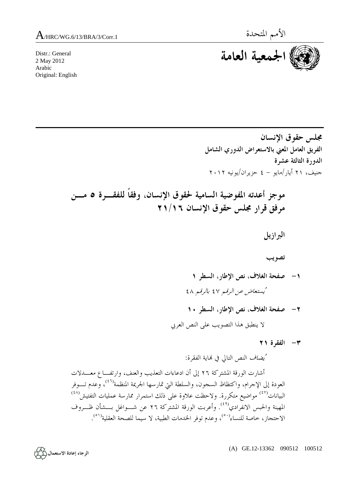Distr.: General 2 May 2012 Arabic Original: English



**مجلس حقوق الإنسان الفريق العامل المعني بالاستعراض الدوري الشامل الدورة الثالثة عشرة**  جنيف، ٢١ أيار/مايو - ٤ حزيران/يونيه ٢٠١٢  **موجز أعدته المفوضية السامية لحقوق الإنسان، وفقاً للفقـرة ٥ مـن مرفق قرار مجلس حقوق الإنسان ٢١/١٦ البرازيل تصويب -١ صفحة الغلاف، نص الإطار، السطر ١**  يُستعاض عن الرقم ٤٧ بالرقم ٤٨  **-٢ صفحة الغلاف، نص الإطار، السطر ١٠**  لا ينطبق هذا التصويب على النص العربي  **-٣ الفقرة ٢١**  يُضاف النص التالي في هناية الفقرة: أشارت الورقة المشتركة ٢٦ إلى أن ادعاءات التعذيب والعنف، وارتفـاع معـدلات العودة إلى الإجرام، واكتظاظ السجون، والسلطة التي تمارسها الجريمة المنظمة<sup>(٤٦)</sup>، وعدم تــــوفر البيانات<sup>(٤٧)</sup> مواضيع متكررة. ولاحظت علاوة على ذلك استمرار ممارسة عمليات التفتيش<sup>(٤٨)</sup>

.<br>المهينة والحبس الانفرادي<sup>(٤٩)</sup>. وأعربت الورقة المشتركة ٢٦ عن شـــواغل بـــشأن ظـــروف الاحتجاز، خاصة للنساء<sup>(٥٠)</sup>، وعدم توفر الخدمات الطبية، لا سيما للصحة العقلية<sup>(٥١</sup>).

(A) GE.12-13362 090512 100512

الرجاء إعادة الاستعمال (١٤